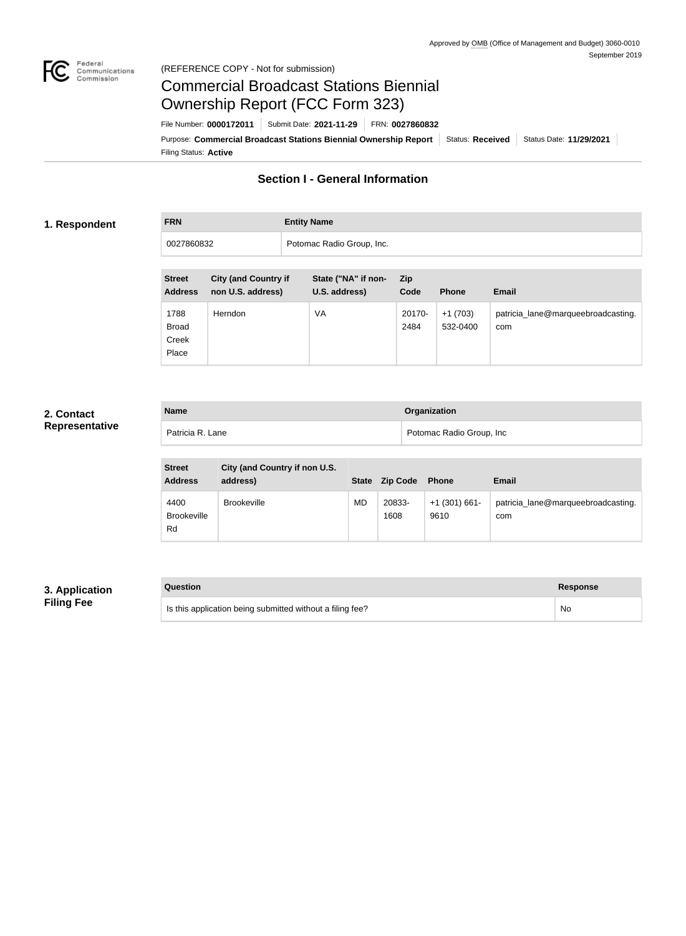

#### Federal<br>Communications<br>Commission (REFERENCE COPY - Not for submission)

# Commercial Broadcast Stations Biennial Ownership Report (FCC Form 323)

Filing Status: **Active** Purpose: Commercial Broadcast Stations Biennial Ownership Report Status: Received Status Date: 11/29/2021 File Number: **0000172011** Submit Date: **2021-11-29** FRN: **0027860832**

# **Section I - General Information**

#### **1. Respondent**

# **FRN Entity Name** 0027860832 Potomac Radio Group, Inc.

| <b>Street</b><br><b>Address</b>        | <b>City (and Country if</b><br>non U.S. address) | State ("NA" if non-<br>U.S. address) | <b>Zip</b><br>Code | <b>Phone</b>          | <b>Email</b>                              |
|----------------------------------------|--------------------------------------------------|--------------------------------------|--------------------|-----------------------|-------------------------------------------|
| 1788<br><b>Broad</b><br>Creek<br>Place | <b>Herndon</b>                                   | VA                                   | 20170-<br>2484     | $+1(703)$<br>532-0400 | patricia_lane@marqueebroadcasting.<br>com |

## **2. Contact Representative**

| <b>Name</b>      | <b>Organization</b>      |
|------------------|--------------------------|
| Patricia R. Lane | Potomac Radio Group, Inc |

| <b>Street</b><br><b>Address</b>  | City (and Country if non U.S.<br>address) | <b>State</b> | <b>Zip Code</b> | <b>Phone</b>            | <b>Email</b>                              |
|----------------------------------|-------------------------------------------|--------------|-----------------|-------------------------|-------------------------------------------|
| 4400<br><b>Brookeville</b><br>Rd | <b>Brookeville</b>                        | <b>MD</b>    | 20833-<br>1608  | $+1$ (301) 661-<br>9610 | patricia_lane@marqueebroadcasting.<br>com |

## **3. Application Filing Fee**

| Question                                                  | Response  |
|-----------------------------------------------------------|-----------|
| Is this application being submitted without a filing fee? | <b>No</b> |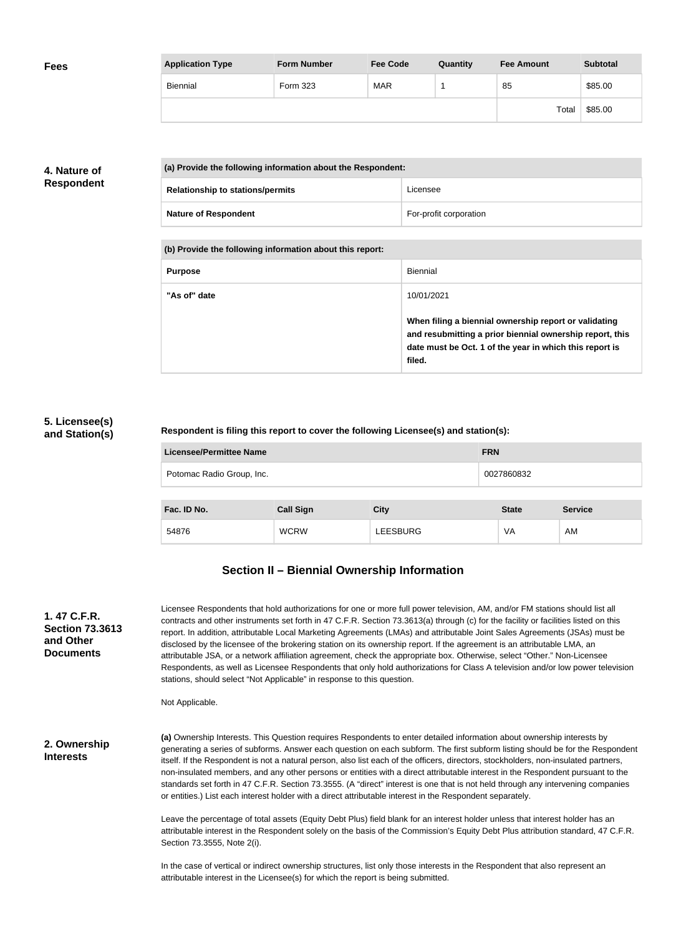| <b>Fees</b> | <b>Application Type</b> | <b>Form Number</b> | <b>Fee Code</b> | Quantity | <b>Fee Amount</b> | <b>Subtotal</b> |
|-------------|-------------------------|--------------------|-----------------|----------|-------------------|-----------------|
|             | Biennial                | Form 323           | <b>MAR</b>      |          | 85                | \$85.00         |
|             |                         |                    |                 |          | Total             | \$85.00         |

## **4. Nature of Respondent**

| (a) Provide the following information about the Respondent: |                        |
|-------------------------------------------------------------|------------------------|
| <b>Relationship to stations/permits</b>                     | Licensee               |
| <b>Nature of Respondent</b>                                 | For-profit corporation |

**(b) Provide the following information about this report:**

| <b>Purpose</b> | Biennial                                                                                                                                                                               |
|----------------|----------------------------------------------------------------------------------------------------------------------------------------------------------------------------------------|
| "As of" date   | 10/01/2021                                                                                                                                                                             |
|                | When filing a biennial ownership report or validating<br>and resubmitting a prior biennial ownership report, this<br>date must be Oct. 1 of the year in which this report is<br>filed. |

## **5. Licensee(s) and Station(s)**

#### **Respondent is filing this report to cover the following Licensee(s) and station(s):**

| <b>Licensee/Permittee Name</b> | <b>FRN</b> |
|--------------------------------|------------|
| Potomac Radio Group, Inc.      | 0027860832 |
|                                |            |

| Fac. ID No. | <b>Call Sign</b> | City            | <b>State</b> | <b>Service</b> |
|-------------|------------------|-----------------|--------------|----------------|
| 54876       | <b>WCRW</b>      | <b>LEESBURG</b> | VA           | AM             |

# **Section II – Biennial Ownership Information**

| 1.47 C.F.R.<br><b>Section 73.3613</b><br>and Other<br><b>Documents</b> | Licensee Respondents that hold authorizations for one or more full power television, AM, and/or FM stations should list all<br>contracts and other instruments set forth in 47 C.F.R. Section 73.3613(a) through (c) for the facility or facilities listed on this<br>report. In addition, attributable Local Marketing Agreements (LMAs) and attributable Joint Sales Agreements (JSAs) must be<br>disclosed by the licensee of the brokering station on its ownership report. If the agreement is an attributable LMA, an<br>attributable JSA, or a network affiliation agreement, check the appropriate box. Otherwise, select "Other." Non-Licensee<br>Respondents, as well as Licensee Respondents that only hold authorizations for Class A television and/or low power television<br>stations, should select "Not Applicable" in response to this question.<br>Not Applicable. |
|------------------------------------------------------------------------|---------------------------------------------------------------------------------------------------------------------------------------------------------------------------------------------------------------------------------------------------------------------------------------------------------------------------------------------------------------------------------------------------------------------------------------------------------------------------------------------------------------------------------------------------------------------------------------------------------------------------------------------------------------------------------------------------------------------------------------------------------------------------------------------------------------------------------------------------------------------------------------|
| 2. Ownership<br><b>Interests</b>                                       | (a) Ownership Interests. This Question requires Respondents to enter detailed information about ownership interests by<br>generating a series of subforms. Answer each question on each subform. The first subform listing should be for the Respondent<br>itself. If the Respondent is not a natural person, also list each of the officers, directors, stockholders, non-insulated partners,<br>non-insulated members, and any other persons or entities with a direct attributable interest in the Respondent pursuant to the<br>standards set forth in 47 C.F.R. Section 73.3555. (A "direct" interest is one that is not held through any intervening companies<br>or entities.) List each interest holder with a direct attributable interest in the Respondent separately.                                                                                                     |
|                                                                        | Leave the percentage of total assets (Equity Debt Plus) field blank for an interest holder unless that interest holder has an<br>attributable interest in the Respondent solely on the basis of the Commission's Equity Debt Plus attribution standard, 47 C.F.R.<br>Section 73.3555, Note 2(i).                                                                                                                                                                                                                                                                                                                                                                                                                                                                                                                                                                                      |
|                                                                        | In the case of vertical or indirect ownership structures, list only those interests in the Respondent that also represent an<br>attributable interest in the Licensee(s) for which the report is being submitted.                                                                                                                                                                                                                                                                                                                                                                                                                                                                                                                                                                                                                                                                     |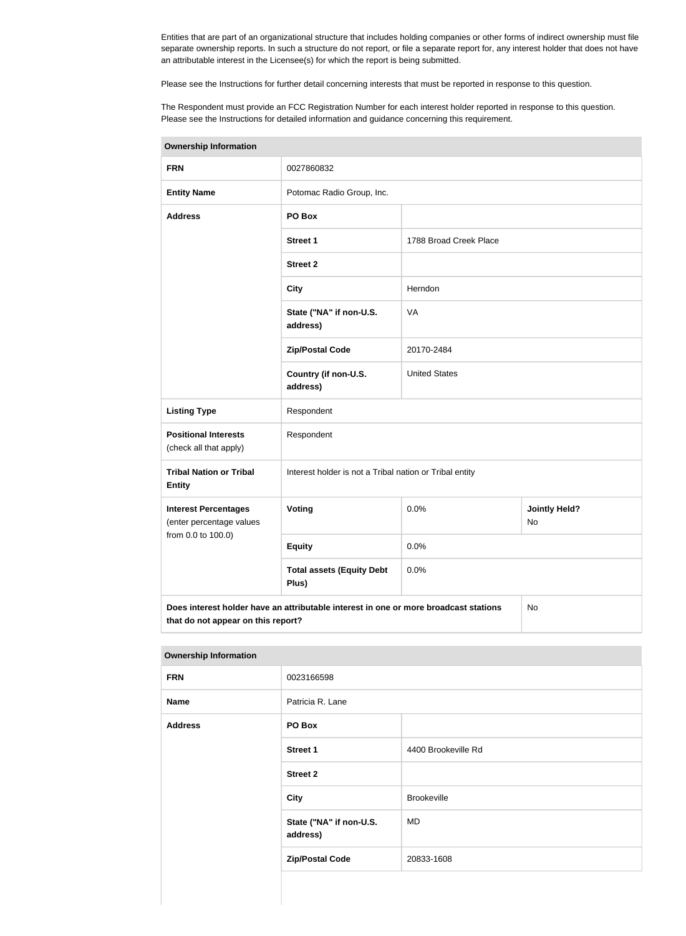Entities that are part of an organizational structure that includes holding companies or other forms of indirect ownership must file separate ownership reports. In such a structure do not report, or file a separate report for, any interest holder that does not have an attributable interest in the Licensee(s) for which the report is being submitted.

Please see the Instructions for further detail concerning interests that must be reported in response to this question.

The Respondent must provide an FCC Registration Number for each interest holder reported in response to this question. Please see the Instructions for detailed information and guidance concerning this requirement.

| <b>Ownership Information</b>                                                                                                     |                                                         |                        |                                   |  |
|----------------------------------------------------------------------------------------------------------------------------------|---------------------------------------------------------|------------------------|-----------------------------------|--|
| <b>FRN</b>                                                                                                                       | 0027860832                                              |                        |                                   |  |
| <b>Entity Name</b>                                                                                                               | Potomac Radio Group, Inc.                               |                        |                                   |  |
| <b>Address</b>                                                                                                                   | PO Box                                                  |                        |                                   |  |
|                                                                                                                                  | <b>Street 1</b>                                         | 1788 Broad Creek Place |                                   |  |
|                                                                                                                                  | <b>Street 2</b>                                         |                        |                                   |  |
|                                                                                                                                  | <b>City</b>                                             | Herndon                |                                   |  |
|                                                                                                                                  | State ("NA" if non-U.S.<br>address)                     | VA                     |                                   |  |
|                                                                                                                                  | <b>Zip/Postal Code</b>                                  | 20170-2484             |                                   |  |
|                                                                                                                                  | Country (if non-U.S.<br>address)                        | <b>United States</b>   |                                   |  |
| <b>Listing Type</b>                                                                                                              | Respondent                                              |                        |                                   |  |
| <b>Positional Interests</b><br>(check all that apply)                                                                            | Respondent                                              |                        |                                   |  |
| <b>Tribal Nation or Tribal</b><br><b>Entity</b>                                                                                  | Interest holder is not a Tribal nation or Tribal entity |                        |                                   |  |
| <b>Interest Percentages</b><br>(enter percentage values                                                                          | Voting                                                  | 0.0%                   | <b>Jointly Held?</b><br><b>No</b> |  |
| from 0.0 to 100.0)                                                                                                               | 0.0%<br><b>Equity</b>                                   |                        |                                   |  |
|                                                                                                                                  | <b>Total assets (Equity Debt</b><br>Plus)               | 0.0%                   |                                   |  |
| Does interest holder have an attributable interest in one or more broadcast stations<br>No<br>that do not appear on this report? |                                                         |                        |                                   |  |

#### **Ownership Information**

| ___            |                                     |                     |  |
|----------------|-------------------------------------|---------------------|--|
| <b>FRN</b>     | 0023166598                          |                     |  |
| <b>Name</b>    | Patricia R. Lane                    |                     |  |
| <b>Address</b> | PO Box                              |                     |  |
|                | <b>Street 1</b>                     | 4400 Brookeville Rd |  |
|                | <b>Street 2</b>                     |                     |  |
|                | <b>City</b>                         | <b>Brookeville</b>  |  |
|                | State ("NA" if non-U.S.<br>address) | MD.                 |  |
|                | <b>Zip/Postal Code</b>              | 20833-1608          |  |
|                |                                     |                     |  |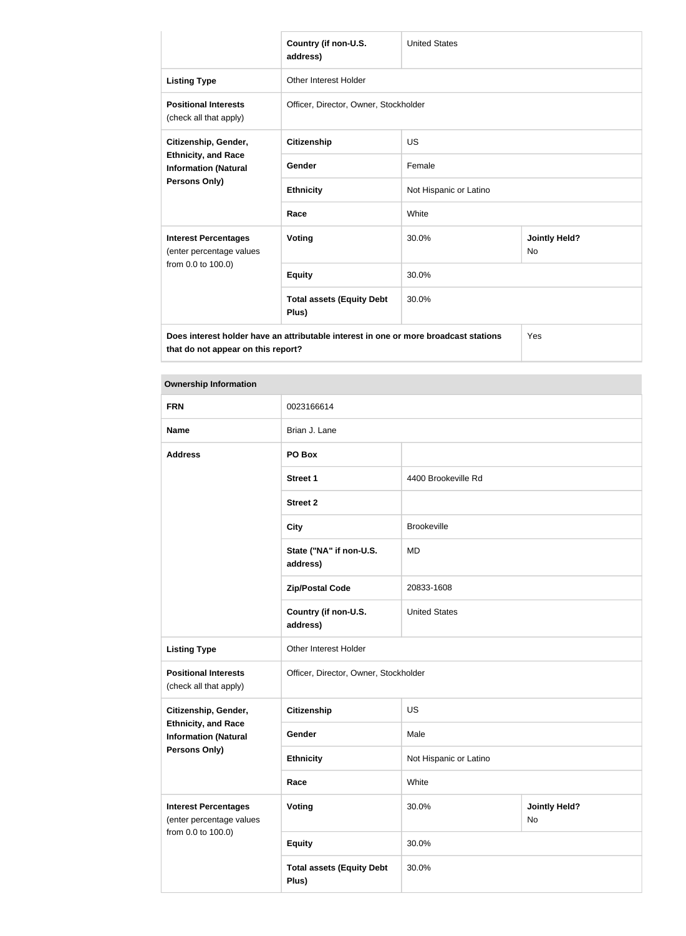|                                                                                                                            | Country (if non-U.S.<br>address)          | <b>United States</b>   |                            |  |
|----------------------------------------------------------------------------------------------------------------------------|-------------------------------------------|------------------------|----------------------------|--|
| <b>Listing Type</b>                                                                                                        | <b>Other Interest Holder</b>              |                        |                            |  |
| <b>Positional Interests</b><br>(check all that apply)                                                                      | Officer, Director, Owner, Stockholder     |                        |                            |  |
| Citizenship, Gender,<br><b>Ethnicity, and Race</b><br><b>Information (Natural</b>                                          | <b>Citizenship</b>                        | <b>US</b>              |                            |  |
|                                                                                                                            | Gender                                    | Female                 |                            |  |
| <b>Persons Only)</b>                                                                                                       | <b>Ethnicity</b>                          | Not Hispanic or Latino |                            |  |
|                                                                                                                            | Race                                      | White                  |                            |  |
| <b>Interest Percentages</b><br>(enter percentage values<br>from 0.0 to 100.0)                                              | Voting                                    | 30.0%                  | <b>Jointly Held?</b><br>No |  |
|                                                                                                                            | <b>Equity</b>                             | 30.0%                  |                            |  |
|                                                                                                                            | <b>Total assets (Equity Debt</b><br>Plus) | 30.0%                  |                            |  |
| Does interest holder have an attributable interest in one or more broadcast stations<br>that do not appear on this report? |                                           |                        | Yes                        |  |

#### **Ownership Information**

| <b>FRN</b>                                                | 0023166614                                |                        |                            |  |
|-----------------------------------------------------------|-------------------------------------------|------------------------|----------------------------|--|
| <b>Name</b>                                               | Brian J. Lane                             |                        |                            |  |
| <b>Address</b>                                            | PO Box                                    |                        |                            |  |
|                                                           | <b>Street 1</b>                           | 4400 Brookeville Rd    |                            |  |
|                                                           | <b>Street 2</b>                           |                        |                            |  |
|                                                           | <b>City</b>                               | Brookeville            |                            |  |
|                                                           | State ("NA" if non-U.S.<br>address)       | MD                     |                            |  |
|                                                           | <b>Zip/Postal Code</b>                    | 20833-1608             |                            |  |
|                                                           | Country (if non-U.S.<br>address)          | <b>United States</b>   |                            |  |
| <b>Listing Type</b>                                       | Other Interest Holder                     |                        |                            |  |
| <b>Positional Interests</b><br>(check all that apply)     | Officer, Director, Owner, Stockholder     |                        |                            |  |
| Citizenship, Gender,                                      | <b>Citizenship</b>                        | US                     |                            |  |
| <b>Ethnicity, and Race</b><br><b>Information (Natural</b> | Gender                                    | Male                   |                            |  |
| <b>Persons Only)</b>                                      | <b>Ethnicity</b>                          | Not Hispanic or Latino |                            |  |
|                                                           | Race                                      | White                  |                            |  |
| <b>Interest Percentages</b><br>(enter percentage values   | <b>Voting</b>                             | 30.0%                  | <b>Jointly Held?</b><br>No |  |
| from 0.0 to 100.0)                                        | <b>Equity</b>                             | 30.0%                  |                            |  |
|                                                           | <b>Total assets (Equity Debt</b><br>Plus) | 30.0%                  |                            |  |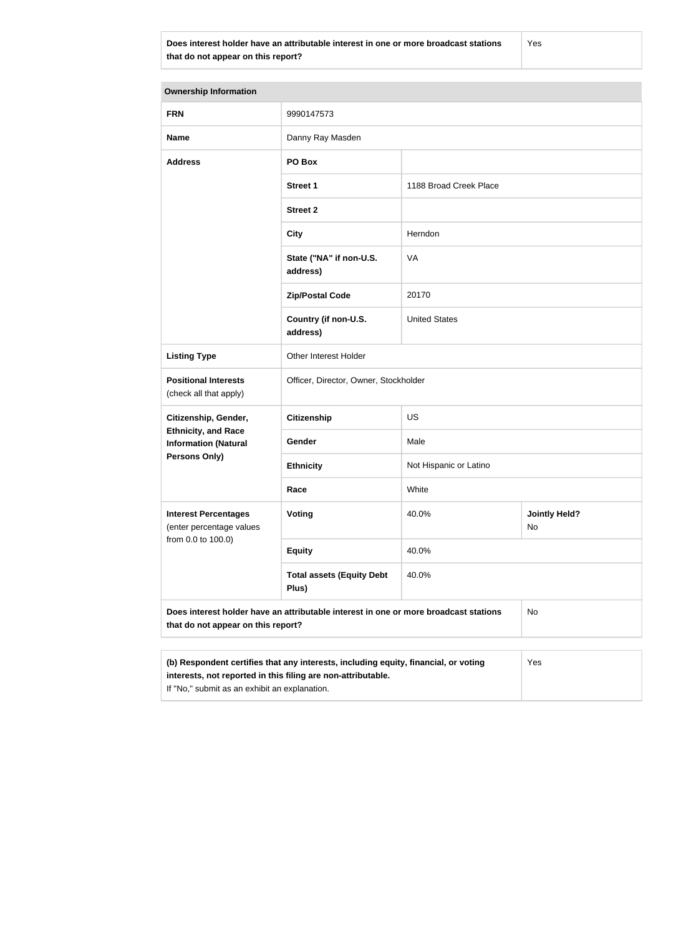**Does interest holder have an attributable interest in one or more broadcast stations that do not appear on this report?**

Yes

| <b>Ownership Information</b>                                                                                                                                                                         |                                           |                        |                            |  |
|------------------------------------------------------------------------------------------------------------------------------------------------------------------------------------------------------|-------------------------------------------|------------------------|----------------------------|--|
| <b>FRN</b>                                                                                                                                                                                           | 9990147573                                |                        |                            |  |
| <b>Name</b>                                                                                                                                                                                          | Danny Ray Masden                          |                        |                            |  |
| <b>Address</b>                                                                                                                                                                                       | PO Box                                    |                        |                            |  |
|                                                                                                                                                                                                      | <b>Street 1</b>                           | 1188 Broad Creek Place |                            |  |
|                                                                                                                                                                                                      | <b>Street 2</b>                           |                        |                            |  |
|                                                                                                                                                                                                      | <b>City</b>                               | Herndon                |                            |  |
|                                                                                                                                                                                                      | State ("NA" if non-U.S.<br>address)       | VA                     |                            |  |
|                                                                                                                                                                                                      | <b>Zip/Postal Code</b>                    | 20170                  |                            |  |
|                                                                                                                                                                                                      | Country (if non-U.S.<br>address)          | <b>United States</b>   |                            |  |
| <b>Listing Type</b>                                                                                                                                                                                  | Other Interest Holder                     |                        |                            |  |
| <b>Positional Interests</b><br>(check all that apply)                                                                                                                                                | Officer, Director, Owner, Stockholder     |                        |                            |  |
| Citizenship, Gender,                                                                                                                                                                                 | <b>Citizenship</b>                        | <b>US</b>              |                            |  |
| <b>Ethnicity, and Race</b><br><b>Information (Natural</b>                                                                                                                                            | Gender                                    | Male                   |                            |  |
| <b>Persons Only)</b>                                                                                                                                                                                 | <b>Ethnicity</b>                          | Not Hispanic or Latino |                            |  |
|                                                                                                                                                                                                      | Race                                      | White                  |                            |  |
| <b>Interest Percentages</b><br>(enter percentage values                                                                                                                                              | Voting                                    | 40.0%                  | <b>Jointly Held?</b><br>No |  |
| from 0.0 to 100.0)                                                                                                                                                                                   | <b>Equity</b>                             | 40.0%                  |                            |  |
|                                                                                                                                                                                                      | <b>Total assets (Equity Debt</b><br>Plus) | 40.0%                  |                            |  |
| Does interest holder have an attributable interest in one or more broadcast stations<br>that do not appear on this report?                                                                           |                                           |                        | No                         |  |
| (b) Respondent certifies that any interests, including equity, financial, or voting<br>interests, not reported in this filing are non-attributable.<br>If "No," submit as an exhibit an explanation. |                                           |                        | Yes                        |  |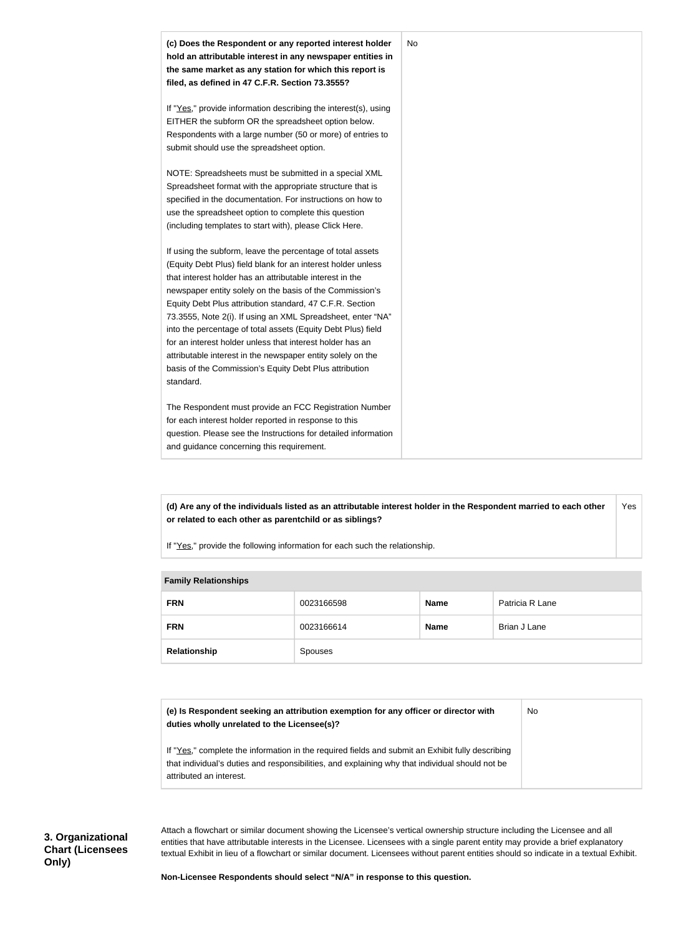

**(d) Are any of the individuals listed as an attributable interest holder in the Respondent married to each other or related to each other as parentchild or as siblings?** Yes

If "Yes," provide the following information for each such the relationship.

| <b>Family Relationships</b> |            |             |                 |
|-----------------------------|------------|-------------|-----------------|
| <b>FRN</b>                  | 0023166598 | <b>Name</b> | Patricia R Lane |
| <b>FRN</b>                  | 0023166614 | <b>Name</b> | Brian J Lane    |
| Relationship                | Spouses    |             |                 |

#### **Family Relationships**

| (e) Is Respondent seeking an attribution exemption for any officer or director with<br>duties wholly unrelated to the Licensee(s)?                                                                  | <b>No</b> |
|-----------------------------------------------------------------------------------------------------------------------------------------------------------------------------------------------------|-----------|
| If "Yes," complete the information in the required fields and submit an Exhibit fully describing<br>that individual's duties and responsibilities, and explaining why that individual should not be |           |
| attributed an interest.                                                                                                                                                                             |           |

Attach a flowchart or similar document showing the Licensee's vertical ownership structure including the Licensee and all entities that have attributable interests in the Licensee. Licensees with a single parent entity may provide a brief explanatory textual Exhibit in lieu of a flowchart or similar document. Licensees without parent entities should so indicate in a textual Exhibit.

**Non-Licensee Respondents should select "N/A" in response to this question.**